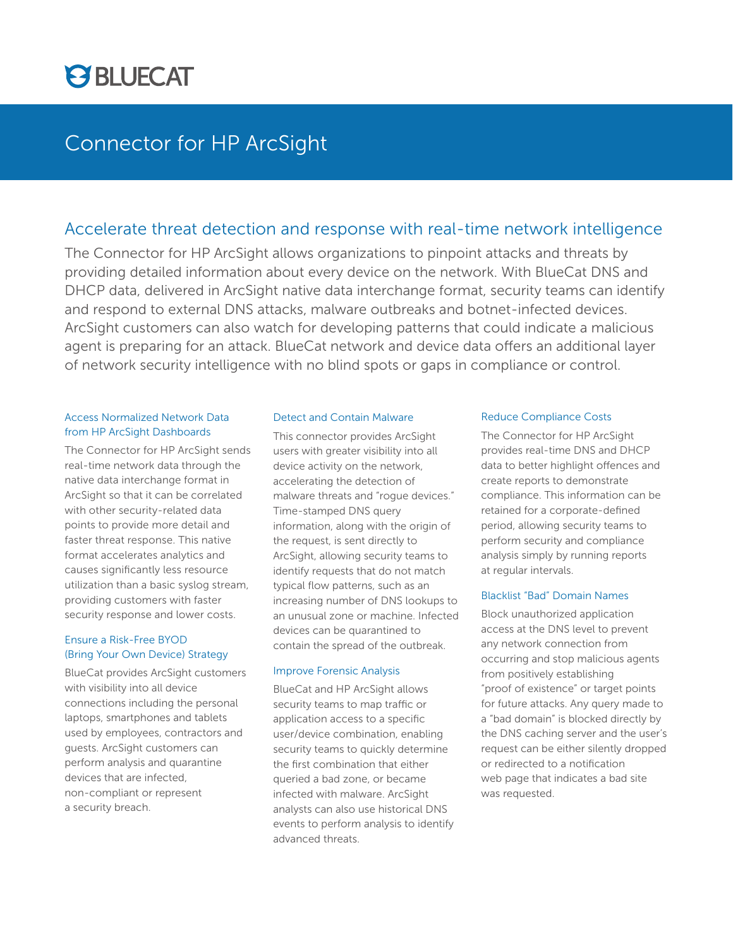

## Connector for HP ArcSight

## Accelerate threat detection and response with real-time network intelligence

The Connector for HP ArcSight allows organizations to pinpoint attacks and threats by providing detailed information about every device on the network. With BlueCat DNS and DHCP data, delivered in ArcSight native data interchange format, security teams can identify and respond to external DNS attacks, malware outbreaks and botnet-infected devices. ArcSight customers can also watch for developing patterns that could indicate a malicious agent is preparing for an attack. BlueCat network and device data offers an additional layer of network security intelligence with no blind spots or gaps in compliance or control.

### Access Normalized Network Data from HP ArcSight Dashboards

The Connector for HP ArcSight sends real-time network data through the native data interchange format in ArcSight so that it can be correlated with other security-related data points to provide more detail and faster threat response. This native format accelerates analytics and causes significantly less resource utilization than a basic syslog stream, providing customers with faster security response and lower costs.

## Ensure a Risk-Free BYOD (Bring Your Own Device) Strategy

BlueCat provides ArcSight customers with visibility into all device connections including the personal laptops, smartphones and tablets used by employees, contractors and guests. ArcSight customers can perform analysis and quarantine devices that are infected, non-compliant or represent a security breach.

#### Detect and Contain Malware

This connector provides ArcSight users with greater visibility into all device activity on the network, accelerating the detection of malware threats and "rogue devices." Time-stamped DNS query information, along with the origin of the request, is sent directly to ArcSight, allowing security teams to identify requests that do not match typical flow patterns, such as an increasing number of DNS lookups to an unusual zone or machine. Infected devices can be quarantined to contain the spread of the outbreak.

#### Improve Forensic Analysis

BlueCat and HP ArcSight allows security teams to map traffic or application access to a specific user/device combination, enabling security teams to quickly determine the first combination that either queried a bad zone, or became infected with malware. ArcSight analysts can also use historical DNS events to perform analysis to identify advanced threats.

#### Reduce Compliance Costs

The Connector for HP ArcSight provides real-time DNS and DHCP data to better highlight offences and create reports to demonstrate compliance. This information can be retained for a corporate-defined period, allowing security teams to perform security and compliance analysis simply by running reports at regular intervals.

## Blacklist "Bad" Domain Names

Block unauthorized application access at the DNS level to prevent any network connection from occurring and stop malicious agents from positively establishing "proof of existence" or target points for future attacks. Any query made to a "bad domain" is blocked directly by the DNS caching server and the user's request can be either silently dropped or redirected to a notification web page that indicates a bad site was requested.